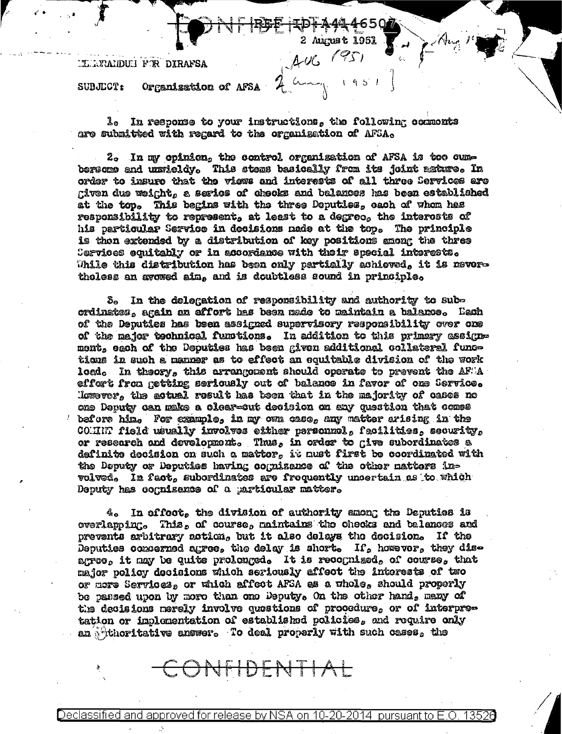## **ILLURALDULI FOR DIRAFSA**

Organisation of AFSA SUBJECT:

1. In response to your instructions, the following commonts are submitted with regard to the organization of AFSA.

2. In my opinion, the control organization of AFSA is too cumbersome and unsieldy. This stems basically from its joint mature. In order to insure that the views and interests of all three Services are given due weight, a series of checks and balances has been established at the top. This begins with the three Deputies, each of whom has responsibility to represent, at least to a degreo, the interests of his particular Service in decisions made at the top. The principle is then extended by a distribution of key positions among the three Services equitably or in accordance with their special interests. While this distribution has been only partially achieved, it is nevertholess an avewed aim, and is doubtless sound in principle,

S. In the delegation of responsibility and authority to subordinates, again an effort has been made to maintain a balance, Each of the Deputies has been assigned supervisory responsibility over one of the major technical functions. In addition to this primary assigne mont, each of the Deputies has been given additional collateral functions in such a manner as to effect an equitable division of the work load. In theory, this arrangement should operate to prevent the  $\mathtt{AF} \backslash \mathtt{A}$ effert from getting seriously out of balance in favor of one Service. Homover, the actual result has been that in the majority of cases no ene Deputy can make a clear-cut decision on any question that comes bafore him. For example, in my own case, any matter arising in the COMMIT field usually involves either personnel, facilities, security, or rescarch and development. Thus, in order to give subordinates a definite decision on such a matter, it must first be coordinated with the Deputy or Deputies having cognizance of the other nattors involved, In fact, subordinates are frequently uncertain as to which Deputy has cognisance of a particular matter.

In affoot, the division of authority among the Deputies is  $4\degree$ overlapping. This, of course, naintains the checks and balances and prevents arbitrary action, but it also delays the decision. If the Deputies commented agree, the delay is short. If, however, they disagroe, it may be quite prolonged. It is recognized, of course, that major policy decisions which seriously affect the interests of two or more Services, or which affect AFSA as a whole, should properly be passed upon by more than one Deputy. On the other hand, meny of the decisions merely involve questions of procedure, or of interpretation or implementation of established policies, and require only an shithoritative answer. To deal properly with such cases, the

Declassified and approved for release by NSA on 10-20-2014 pursuant to

DEN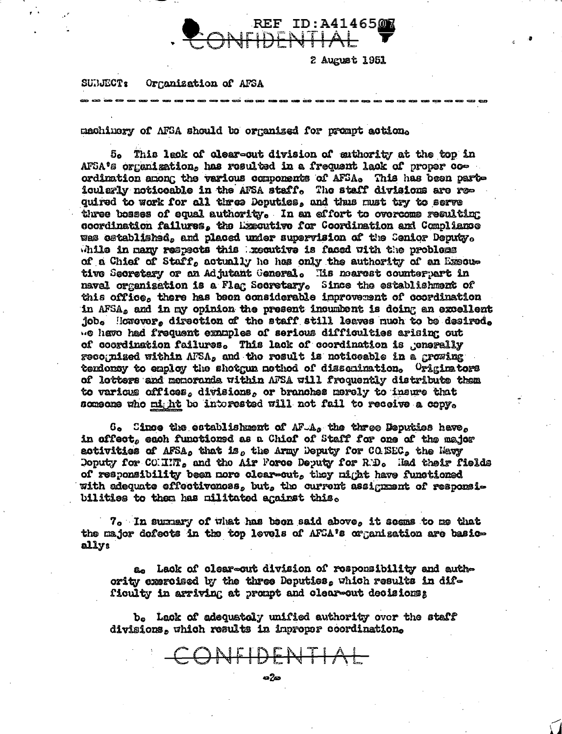

Organization of AFSA **SUBJECT:** 

machinery of AFSA should be organized for prompt action.

5. This leck of clear-cut division of suthority at the top in AFSA's organization, has resulted in a frequent lack of proper coordination among the various components of AFSA. This has been particularly noticeable in the AFSA staff. The staff divisions are required to work for all three Deputies, and thus must try to serve three bosses of equal authority. In an affort to overcome resulting coordination failures, the Executive for Coordination and Compliance was established, and placed under supervision of the Senior Deputy, while in many respects this broative is faced with the problems of a Chief of Staff, actually he has only the authority of an Executive Secretary or an Adjutant General. His nearest counterpart in naval organization is a Flag Secretary. Since the establishment of this office, there has been considerable improvement of coordination in AFSA, and in my opinion the present incumbent is doing an excellent job. However, direction of the staff still leaves much to be desired. we have had frequent examples of serious difficulties arising out of coordination failures. This lack of coordination is generally recognized within AFSA, and the result is noticeable in a growing tendoncy to employ the shotgun method of dissenination, Originators of lotters and memoranda within AFSA will froquently distribute them to various offices, divisions, or branches merely to insure that someone who might be interested will not fail to receive a copy.

 $0$ . Since the establishment of AF.A. the three Deputies have. in offect, each functioned as a Chiof of Staff for one of the major activities of AFSA, that is, the Army Deputy for CO. SEC, the Mavy Doputy for COMRITE, and the Air Force Deputy for R.D. Had their fields of responsibility been nore clear-out, they night have functioned with adequate effectiveness, but, the current assignment of responsibilities to them has militated against this.

7. In summary of what has been said above, it seems to me that the major defects in the top levels of AFSA's organization are basically:

a. Lack of clear-cut division of responsibility and authority exercised by the three Deputies, which results in difficulty in arriving at prompt and clear-out decisions;

b. Lack of adequately unified authority over the staff divisions, which results in improper coordination.

CONFIDENTIAL

ශ්රිත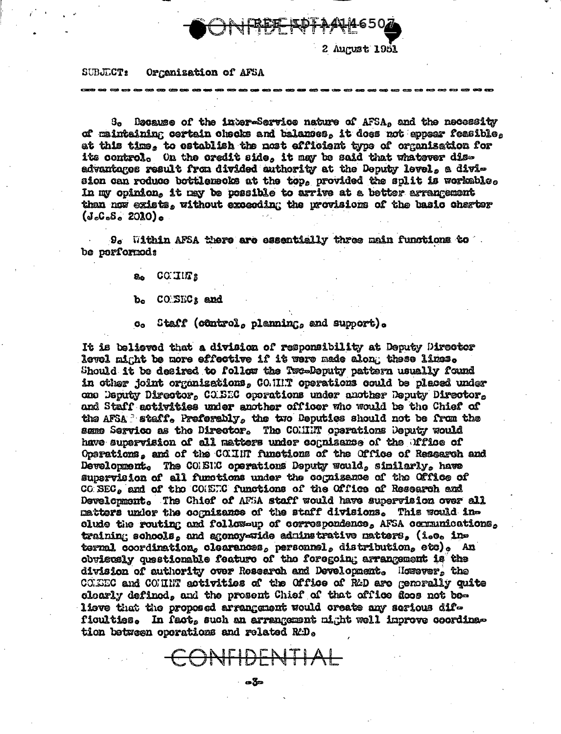

## **SUBJECT:** Organization of AFSA

Decause of the inter-Service nature of AFSA, and the necessity **3.** of maintaining certain checks and balances, it does not appear feasible, at this time, to establish the nost efficient type of organization for its control. On the credit side, it may be said that whatever disadvantages result from divided authority at the Deputy level, a division can roduce bottlemecks at the top, provided the split is workable. In my opinion, it may be possible to arrive at a better arrangement than now exists, without exceeding the provisions of the basic cherter  $(J<sub>e</sub>C<sub>e</sub>S<sub>e</sub> 2010)<sub>e</sub>$ 

9. Within AFSA there are essentially three main functions to be porformeds

a. COUILTS

b. CONSECs and

c. Staff (côntrol, planning, and support).

It is believed that a division of responsibility at Deputy Director level might be more effective if it were made along these limes. Should it be desired to follow the Two-Deputy pattern usually found in other joint organizations, CO.IIIT operations could be placed under one Deputy Director, CO.BEC operations under another Deputy Director, and Staff activities under another officer who would be the Chief of the AFSA I staff. Preferably, the two Deputies should not be from the same Service as the Director. The COMMIT operations Deputy would have supervision of all matters under cognizance of the Mfloe of Operations, and of the COUNT functions of the Office of Research and Development. The COMBNIC operations Deputy would, similarly, have supervision of all functions under the cognisance of the Office of CO SEC, and of the COMET.C functions of the Office of Research and Development. The Chief of AFSA staff would have supervision over all matters unler the cognizance of the staff divisions. This would include the routing and follow-up of correspondence, AFSA communications, training schools, and agoncy-wide adminstrative matters, (i.e. internal coordination, clearances, personnel, distribution, etc). An obvistely questionable feature of the foregoing arrangement is the division of authority over Research and Development. Hewever, the COLEEC and COMMIT activities of the Office of R&D are generally quite clearly defined, and the present Chief of that office does not believe that the proposed arrangement would create any serious difficulties. In fact, such an arrangement might well improve coordination between operations and related RtD.

CONFIDENTIAL

- ලෙස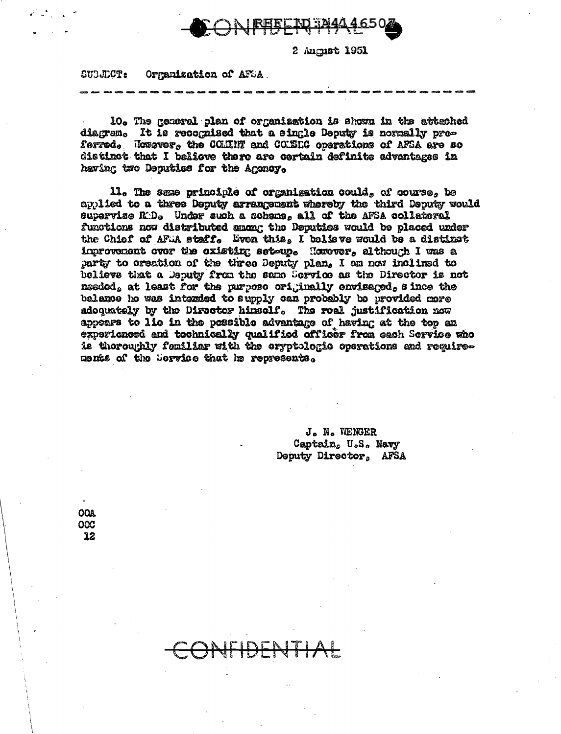

SUBJECT: Orranization of AFSA

10. The general plan of organization is shown in the attenhed diagram. It is recognized that a single Deputy is normally preferred. Hossesr, the COMINT and CONSEC operations of AFSA are so distinct that I believe there are cortain definite advantages in having two Deputies for the Agency.

ll. The same principle of organization could, of course, be applied to a three Deputy arrangement whereby the third Deputy would supervise R:D. Under such a scheme, all of the AFSA collateral functions now distributed among the Deputies would be placed under the Chief of AFLA staff. Even this, I believe would be a distinct inprovement over the existing set-up. However, although I was a party to creation of the three Deputy plan, I am now inclined to believe that a Deputy from the same Sorvice as the Director is not needed, at least for the purpose originally envisaged, since the balance ho was intended to supply can probably be provided more adoquately by the Director himself. The roal justification now appears to lie in the possible advantage of having at the top an experienced and technically qualified officer from each Service who is thoroughly femiliar with the cryptologic operations and reguirements of the Service that he represents.

> J. N. WENGER Captain, U.S. Navy Deputy Director, AFSA

**OOA OOC** 12